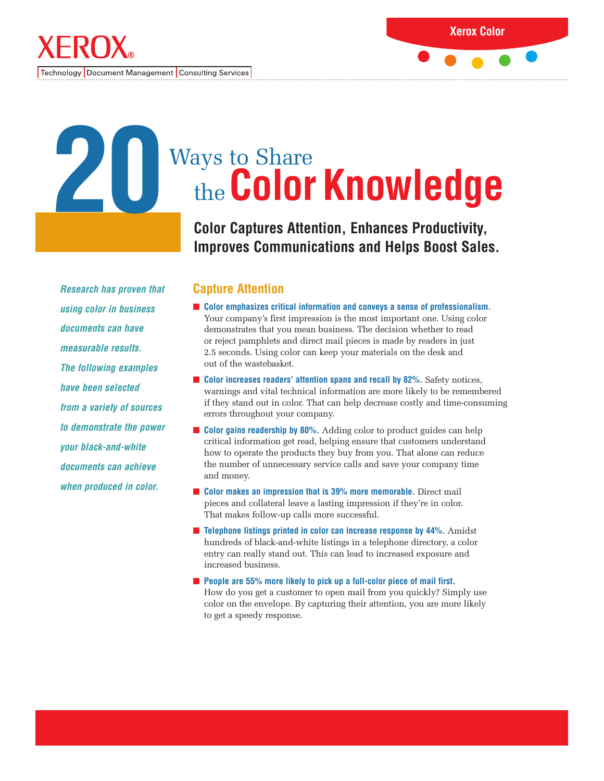

Technology | Document Management | Consulting Services |

# **20** Ways to Share<br>the **Color**<br>Color Captures Atter the**Color Knowledge**

**Color Captures Attention, Enhances Productivity, Improves Communications and Helps Boost Sales.**

# **Capture Attention**

- **Color emphasizes critical information and conveys a sense of professionalism.** Your company's first impression is the most important one. Using color demonstrates that you mean business. The decision whether to read or reject pamphlets and direct mail pieces is made by readers in just 2.5 seconds. Using color can keep your materials on the desk and out of the wastebasket.
- **Color increases readers' attention spans and recall by 82%.** Safety notices, warnings and vital technical information are more likely to be remembered if they stand out in color. That can help decrease costly and time-consuming errors throughout your company.
- **Color gains readership by 80%.** Adding color to product guides can help critical information get read, helping ensure that customers understand how to operate the products they buy from you. That alone can reduce the number of unnecessary service calls and save your company time and money.
- **Color makes an impression that is 39% more memorable.** Direct mail pieces and collateral leave a lasting impression if they're in color. That makes follow-up calls more successful.
- **Telephone listings printed in color can increase response by 44%.** Amidst hundreds of black-and-white listings in a telephone directory, a color entry can really stand out. This can lead to increased exposure and increased business.
- People are 55% more likely to pick up a full-color piece of mail first. How do you get a customer to open mail from you quickly? Simply use color on the envelope. By capturing their attention, you are more likely to get a speedy response.

**Research has proven that using color in business documents can have measurable results. The following examples have been selected from a variety of sources to demonstrate the power your black-and-white documents can achieve when produced in color.**